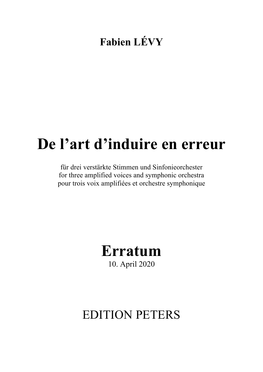### **Fabien LÉVY**

# **De l'art d'induire en erreur**

für drei verstärkte Stimmen und Sinfonieorchester for three amplified voices and symphonic orchestra pour trois voix amplifiées et orchestre symphonique



## EDITION PETERS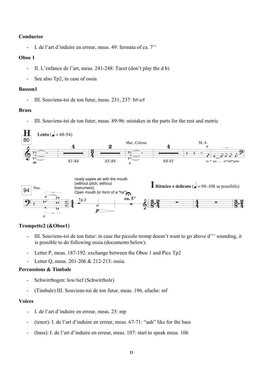#### **Conductor**

- I. de l'art d'induire en erreur, meas. 49: fermata of ca. 7''

#### **Oboe 1**

- II. L'enfance de l'art, meas. 241-248: Tacet (don't play the d b)
- See also Tp2, in case of ossia

#### **Basson1**

- III. Souviens-toi de ton futur, meas. 231, 237: b#-c#

#### **Brass**

III. Souviens-toi de ton futur, meas. 89-96: mistakes in the parts for the rest and metric



#### **Trompette2 (&Oboe1)**

- III. Souviens-toi de ton futur: in case the piccolo tromp doesn't want to go above d''' sounding, it is possible to do following ossia (documents below):
- Letter P, meas. 187-192: exchange between the Oboe 1 and Picc Tp2
- Letter Q, meas. 201-206 & 212-213: ossia.

#### **Percussions & Timbale**

- Schwirrbogen: low/tief (Schwirrholz)
- (Timbale) III. Souviens-toi de ton futur, meas. 196, afuche: mf

#### **Voices**

- I. de l'art d'induire en erreur, meas. 25: mp
- (tenor): I. de l'art d'induire en erreur, meas. 67-71: "aah" like for the bass
- (bass): I. de l'art d'induire en erreur, meas. 107: start to speak meas. 106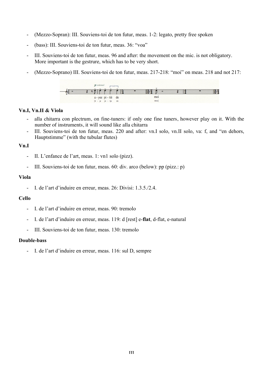- (Mezzo-Sopran): III. Souviens-toi de ton futur, meas. 1-2: legato, pretty free spoken
- (bass): III. Souviens-toi de ton futur, meas. 36: "voa"
- III. Souviens-toi de ton futur, meas. 96 and after: the movement on the mic. is not obligatory. More important is the gestrure, which has to be very short.
- (Mezzo-Soprano) III. Souviens-toi de ton futur, meas. 217-218: "moi" on meas. 218 and not 217:



#### **Vn.I, Vn.II & Viola**

- alla chitarra con plectrum, on fine-tuners: if only one fine tuners, however play on it. With the number of instruments, it will sound like alla chitarra
- III. Souviens-toi de ton futur, meas. 220 and after: vn.I solo, vn.II solo, va: f, and "en dehors, Hauptstimme" (with the tubular flutes)

#### **Vn.I**

- II. L'enfance de l'art, meas. 1: vn1 solo (pizz).
- III. Souviens-toi de ton futur, meas. 60: div. arco (below): pp (pizz.: p)

#### **Viola**

- I. de l'art d'induire en erreur, meas. 26: Divisi: 1.3.5./2.4.

#### **Cello**

- I. de l'art d'induire en erreur, meas. 90: tremolo
- I. de l'art d'induire en erreur, meas. 119: d [rest] e-**flat**, d-flat, e-natural
- III. Souviens-toi de ton futur, meas. 130: tremolo

#### **Double-bass**

- I. de l'art d'induire en erreur, meas. 116: sul D, sempre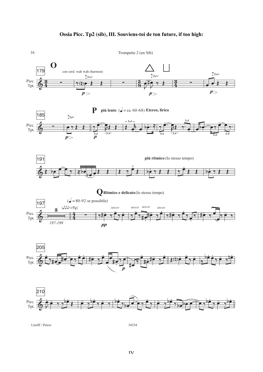#### **Ossia Picc. Tp2 (sib), III. Souviens-toi de ton future, if too high:**



Litolff / Peters 34534